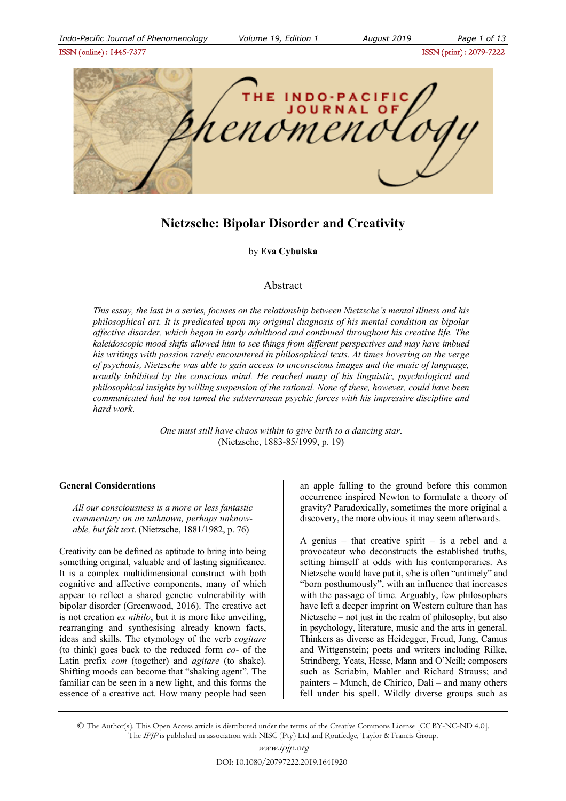ISSN (online) : 1445-7377ISSN (print) : 2079-7222



# **Nietzsche: Bipolar Disorder and Creativity**

by **Eva Cybulska** 

## Abstract

*This essay, the last in a series, focuses on the relationship between Nietzsche's mental illness and his philosophical art. It is predicated upon my original diagnosis of his mental condition as bipolar affective disorder, which began in early adulthood and continued throughout his creative life. The kaleidoscopic mood shifts allowed him to see things from different perspectives and may have imbued his writings with passion rarely encountered in philosophical texts. At times hovering on the verge of psychosis, Nietzsche was able to gain access to unconscious images and the music of language, usually inhibited by the conscious mind. He reached many of his linguistic, psychological and philosophical insights by willing suspension of the rational. None of these, however, could have been communicated had he not tamed the subterranean psychic forces with his impressive discipline and hard work*.

> *One must still have chaos within to give birth to a dancing star*. (Nietzsche, 1883-85/1999, p. 19)

## **General Considerations**

*All our consciousness is a more or less fantastic commentary on an unknown, perhaps unknowable, but felt text*. (Nietzsche, 1881/1982, p. 76)

Creativity can be defined as aptitude to bring into being something original, valuable and of lasting significance. It is a complex multidimensional construct with both cognitive and affective components, many of which appear to reflect a shared genetic vulnerability with bipolar disorder (Greenwood, 2016). The creative act is not creation *ex nihilo*, but it is more like unveiling, rearranging and synthesising already known facts, ideas and skills. The etymology of the verb *cogitare* (to think) goes back to the reduced form *co*- of the Latin prefix *com* (together) and *agitare* (to shake). Shifting moods can become that "shaking agent". The familiar can be seen in a new light, and this forms the essence of a creative act. How many people had seen an apple falling to the ground before this common occurrence inspired Newton to formulate a theory of gravity? Paradoxically, sometimes the more original a discovery, the more obvious it may seem afterwards.

A genius – that creative spirit – is a rebel and a provocateur who deconstructs the established truths, setting himself at odds with his contemporaries. As Nietzsche would have put it, s/he is often "untimely" and "born posthumously", with an influence that increases with the passage of time. Arguably, few philosophers have left a deeper imprint on Western culture than has Nietzsche – not just in the realm of philosophy, but also in psychology, literature, music and the arts in general. Thinkers as diverse as Heidegger, Freud, Jung, Camus and Wittgenstein; poets and writers including Rilke, Strindberg, Yeats, Hesse, Mann and O'Neill; composers such as Scriabin, Mahler and Richard Strauss; and painters – Munch, de Chirico, Dali – and many others fell under his spell. Wildly diverse groups such as

© The Author(s). This Open Access article is distributed under the terms of the Creative Commons License [CC BY-NC-ND 4.0]. The IPJP is published in association with NISC (Pty) Ltd and Routledge, Taylor & Francis Group.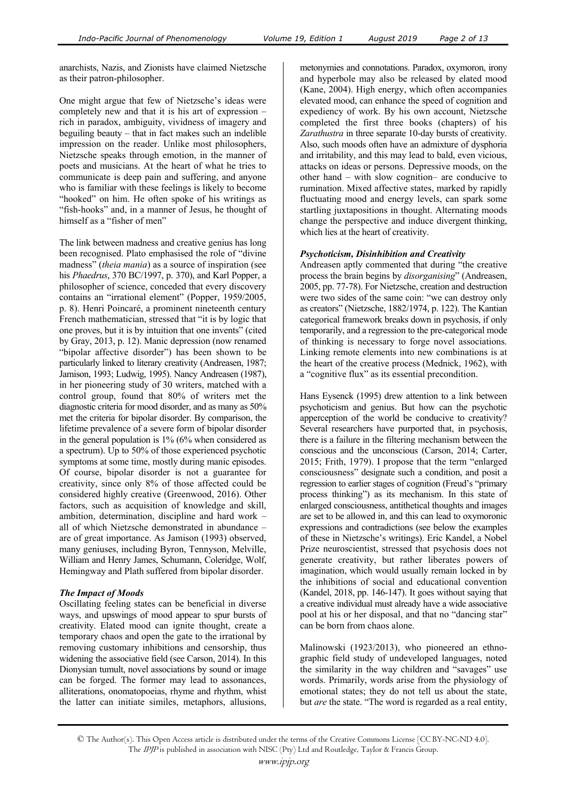anarchists, Nazis, and Zionists have claimed Nietzsche as their patron-philosopher.

One might argue that few of Nietzsche's ideas were completely new and that it is his art of expression – rich in paradox, ambiguity, vividness of imagery and beguiling beauty – that in fact makes such an indelible impression on the reader. Unlike most philosophers, Nietzsche speaks through emotion, in the manner of poets and musicians. At the heart of what he tries to communicate is deep pain and suffering, and anyone who is familiar with these feelings is likely to become "hooked" on him. He often spoke of his writings as "fish-hooks" and, in a manner of Jesus, he thought of himself as a "fisher of men"

The link between madness and creative genius has long been recognised. Plato emphasised the role of "divine madness" (*theia mania*) as a source of inspiration (see his *Phaedrus*, 370 BC/1997, p. 370), and Karl Popper, a philosopher of science, conceded that every discovery contains an "irrational element" (Popper, 1959/2005, p. 8). Henri Poincaré, a prominent nineteenth century French mathematician, stressed that "it is by logic that one proves, but it is by intuition that one invents" (cited by Gray, 2013, p. 12). Manic depression (now renamed "bipolar affective disorder") has been shown to be particularly linked to literary creativity (Andreasen, 1987; Jamison, 1993; Ludwig, 1995). Nancy Andreasen (1987), in her pioneering study of 30 writers, matched with a control group, found that 80% of writers met the diagnostic criteria for mood disorder, and as many as 50% met the criteria for bipolar disorder. By comparison, the lifetime prevalence of a severe form of bipolar disorder in the general population is 1% (6% when considered as a spectrum). Up to 50% of those experienced psychotic symptoms at some time, mostly during manic episodes. Of course, bipolar disorder is not a guarantee for creativity, since only 8% of those affected could be considered highly creative (Greenwood, 2016). Other factors, such as acquisition of knowledge and skill, ambition, determination, discipline and hard work – all of which Nietzsche demonstrated in abundance – are of great importance. As Jamison (1993) observed, many geniuses, including Byron, Tennyson, Melville, William and Henry James, Schumann, Coleridge, Wolf, Hemingway and Plath suffered from bipolar disorder.

#### *The Impact of Moods*

Oscillating feeling states can be beneficial in diverse ways, and upswings of mood appear to spur bursts of creativity. Elated mood can ignite thought, create a temporary chaos and open the gate to the irrational by removing customary inhibitions and censorship, thus widening the associative field (see Carson, 2014). In this Dionysian tumult, novel associations by sound or image can be forged. The former may lead to assonances, alliterations, onomatopoeias, rhyme and rhythm, whist the latter can initiate similes, metaphors, allusions,

metonymies and connotations. Paradox, oxymoron, irony and hyperbole may also be released by elated mood (Kane, 2004). High energy, which often accompanies elevated mood, can enhance the speed of cognition and expediency of work. By his own account, Nietzsche completed the first three books (chapters) of his *Zarathustra* in three separate 10-day bursts of creativity. Also, such moods often have an admixture of dysphoria and irritability, and this may lead to bald, even vicious, attacks on ideas or persons. Depressive moods, on the other hand – with slow cognition– are conducive to rumination. Mixed affective states, marked by rapidly fluctuating mood and energy levels, can spark some startling juxtapositions in thought. Alternating moods change the perspective and induce divergent thinking, which lies at the heart of creativity.

#### *Psychoticism, Disinhibition and Creativity*

Andreasen aptly commented that during "the creative process the brain begins by *disorganising*" (Andreasen, 2005, pp. 77-78). For Nietzsche, creation and destruction were two sides of the same coin: "we can destroy only as creators" (Nietzsche, 1882/1974, p. 122). The Kantian categorical framework breaks down in psychosis, if only temporarily, and a regression to the pre-categorical mode of thinking is necessary to forge novel associations. Linking remote elements into new combinations is at the heart of the creative process (Mednick, 1962), with a "cognitive flux" as its essential precondition.

Hans Eysenck (1995) drew attention to a link between psychoticism and genius. But how can the psychotic apperception of the world be conducive to creativity? Several researchers have purported that, in psychosis, there is a failure in the filtering mechanism between the conscious and the unconscious (Carson, 2014; Carter, 2015; Frith, 1979). I propose that the term "enlarged consciousness" designate such a condition, and posit a regression to earlier stages of cognition (Freud's "primary process thinking") as its mechanism. In this state of enlarged consciousness, antithetical thoughts and images are set to be allowed in, and this can lead to oxymoronic expressions and contradictions (see below the examples of these in Nietzsche's writings). Eric Kandel, a Nobel Prize neuroscientist, stressed that psychosis does not generate creativity, but rather liberates powers of imagination, which would usually remain locked in by the inhibitions of social and educational convention (Kandel, 2018, pp. 146-147). It goes without saying that a creative individual must already have a wide associative pool at his or her disposal, and that no "dancing star" can be born from chaos alone.

Malinowski (1923/2013), who pioneered an ethnographic field study of undeveloped languages, noted the similarity in the way children and "savages" use words. Primarily, words arise from the physiology of emotional states; they do not tell us about the state, but *are* the state. "The word is regarded as a real entity,

<sup>©</sup> The Author(s). This Open Access article is distributed under the terms of the Creative Commons License [CC BY-NC-ND 4.0]. The IPJP is published in association with NISC (Pty) Ltd and Routledge, Taylor & Francis Group.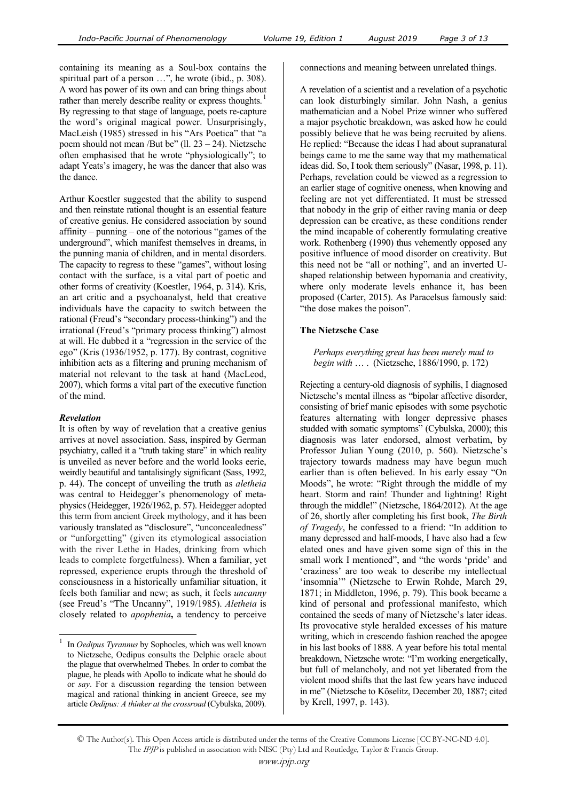containing its meaning as a Soul-box contains the spiritual part of a person ...", he wrote (ibid., p. 308). A word has power of its own and can bring things about rather than merely describe reality or express thoughts.<sup>1</sup> By regressing to that stage of language, poets re-capture the word's original magical power. Unsurprisingly, MacLeish (1985) stressed in his "Ars Poetica" that "a poem should not mean /But be" (ll.  $23 - 24$ ). Nietzsche often emphasised that he wrote "physiologically"; to adapt Yeats's imagery, he was the dancer that also was the dance.

Arthur Koestler suggested that the ability to suspend and then reinstate rational thought is an essential feature of creative genius. He considered association by sound affinity – punning – one of the notorious "games of the underground", which manifest themselves in dreams, in the punning mania of children, and in mental disorders. The capacity to regress to these "games", without losing contact with the surface, is a vital part of poetic and other forms of creativity (Koestler, 1964, p. 314). Kris, an art critic and a psychoanalyst, held that creative individuals have the capacity to switch between the rational (Freud's "secondary process-thinking") and the irrational (Freud's "primary process thinking") almost at will. He dubbed it a "regression in the service of the ego" (Kris (1936/1952, p. 177). By contrast, cognitive inhibition acts as a filtering and pruning mechanism of material not relevant to the task at hand (MacLeod, 2007), which forms a vital part of the executive function of the mind.

## *Revelation*

 $\overline{a}$ 

It is often by way of revelation that a creative genius arrives at novel association. Sass, inspired by German psychiatry, called it a "truth taking stare" in which reality is unveiled as never before and the world looks eerie, weirdly beautiful and tantalisingly significant (Sass, 1992, p. 44). The concept of unveiling the truth as *aletheia* was central to Heidegger's phenomenology of metaphysics (Heidegger, 1926/1962, p. 57). Heidegger adopted this term from ancient Greek mythology, and it has been variously translated as "disclosure", "unconcealedness" or "unforgetting" (given its etymological association with the river Lethe in Hades, drinking from which leads to complete forgetfulness). When a familiar, yet repressed, experience erupts through the threshold of consciousness in a historically unfamiliar situation, it feels both familiar and new; as such, it feels *uncanny*  (see Freud's "The Uncanny", 1919/1985). *Aletheia* is closely related to *apophenia***,** a tendency to perceive

connections and meaning between unrelated things.

A revelation of a scientist and a revelation of a psychotic can look disturbingly similar. John Nash, a genius mathematician and a Nobel Prize winner who suffered a major psychotic breakdown, was asked how he could possibly believe that he was being recruited by aliens. He replied: "Because the ideas I had about supranatural beings came to me the same way that my mathematical ideas did. So, I took them seriously" (Nasar, 1998, p. 11). Perhaps, revelation could be viewed as a regression to an earlier stage of cognitive oneness, when knowing and feeling are not yet differentiated. It must be stressed that nobody in the grip of either raving mania or deep depression can be creative, as these conditions render the mind incapable of coherently formulating creative work. Rothenberg (1990) thus vehemently opposed any positive influence of mood disorder on creativity. But this need not be "all or nothing", and an inverted Ushaped relationship between hypomania and creativity, where only moderate levels enhance it, has been proposed (Carter, 2015). As Paracelsus famously said: "the dose makes the poison".

## **The Nietzsche Case**

*Perhaps everything great has been merely mad to begin with* … . (Nietzsche, 1886/1990, p. 172)

Rejecting a century-old diagnosis of syphilis, I diagnosed Nietzsche's mental illness as "bipolar affective disorder, consisting of brief manic episodes with some psychotic features alternating with longer depressive phases studded with somatic symptoms" (Cybulska, 2000); this diagnosis was later endorsed, almost verbatim, by Professor Julian Young (2010, p. 560). Nietzsche's trajectory towards madness may have begun much earlier than is often believed. In his early essay "On Moods", he wrote: "Right through the middle of my heart. Storm and rain! Thunder and lightning! Right through the middle!" (Nietzsche, 1864/2012). At the age of 26, shortly after completing his first book, *The Birth of Tragedy*, he confessed to a friend: "In addition to many depressed and half-moods, I have also had a few elated ones and have given some sign of this in the small work I mentioned", and "the words 'pride' and 'craziness' are too weak to describe my intellectual 'insomnia'" (Nietzsche to Erwin Rohde, March 29, 1871; in Middleton, 1996, p. 79). This book became a kind of personal and professional manifesto, which contained the seeds of many of Nietzsche's later ideas. Its provocative style heralded excesses of his mature writing, which in crescendo fashion reached the apogee in his last books of 1888. A year before his total mental breakdown, Nietzsche wrote: "I'm working energetically, but full of melancholy, and not yet liberated from the violent mood shifts that the last few years have induced in me" (Nietzsche to Köselitz, December 20, 1887; cited by Krell, 1997, p. 143).

<sup>1</sup> In *Oedipus Tyrannus* by Sophocles, which was well known to Nietzsche, Oedipus consults the Delphic oracle about the plague that overwhelmed Thebes. In order to combat the plague, he pleads with Apollo to indicate what he should do or *say*. For a discussion regarding the tension between magical and rational thinking in ancient Greece, see my article *Oedipus: A thinker at the crossroad* (Cybulska, 2009).

<sup>©</sup> The Author(s). This Open Access article is distributed under the terms of the Creative Commons License [CC BY-NC-ND 4.0]. The IPJP is published in association with NISC (Pty) Ltd and Routledge, Taylor & Francis Group.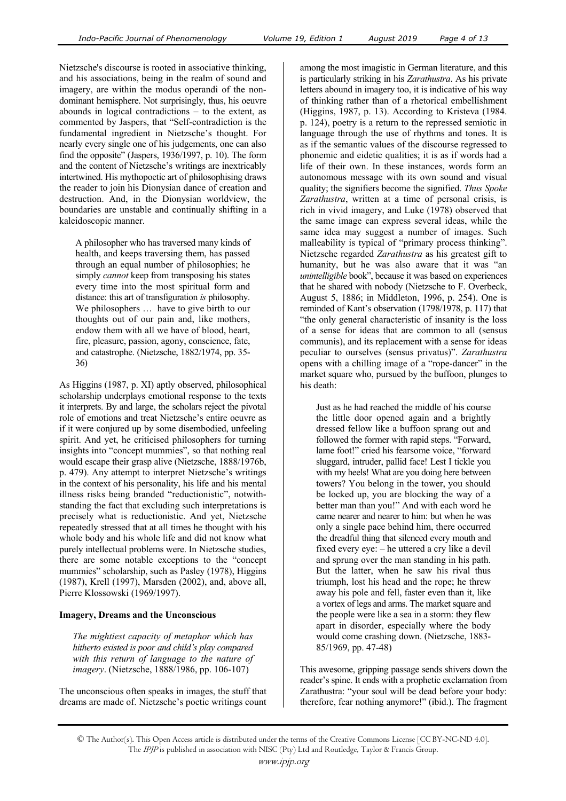Nietzsche's discourse is rooted in associative thinking, and his associations, being in the realm of sound and imagery, are within the modus operandi of the nondominant hemisphere. Not surprisingly, thus, his oeuvre abounds in logical contradictions – to the extent, as commented by Jaspers, that "Self-contradiction is the fundamental ingredient in Nietzsche's thought. For nearly every single one of his judgements, one can also find the opposite" (Jaspers, 1936/1997, p. 10). The form and the content of Nietzsche's writings are inextricably intertwined. His mythopoetic art of philosophising draws the reader to join his Dionysian dance of creation and destruction. And, in the Dionysian worldview, the boundaries are unstable and continually shifting in a kaleidoscopic manner.

A philosopher who has traversed many kinds of health, and keeps traversing them, has passed through an equal number of philosophies; he simply *cannot* keep from transposing his states every time into the most spiritual form and distance: this art of transfiguration *is* philosophy. We philosophers … have to give birth to our thoughts out of our pain and, like mothers, endow them with all we have of blood, heart, fire, pleasure, passion, agony, conscience, fate, and catastrophe. (Nietzsche, 1882/1974, pp. 35- 36)

As Higgins (1987, p. XI) aptly observed, philosophical scholarship underplays emotional response to the texts it interprets. By and large, the scholars reject the pivotal role of emotions and treat Nietzsche's entire oeuvre as if it were conjured up by some disembodied, unfeeling spirit. And yet, he criticised philosophers for turning insights into "concept mummies", so that nothing real would escape their grasp alive (Nietzsche, 1888/1976b, p. 479). Any attempt to interpret Nietzsche's writings in the context of his personality, his life and his mental illness risks being branded "reductionistic", notwithstanding the fact that excluding such interpretations is precisely what is reductionistic. And yet, Nietzsche repeatedly stressed that at all times he thought with his whole body and his whole life and did not know what purely intellectual problems were. In Nietzsche studies, there are some notable exceptions to the "concept mummies" scholarship, such as Pasley (1978), Higgins (1987), Krell (1997), Marsden (2002), and, above all, Pierre Klossowski (1969/1997).

## **Imagery, Dreams and the Unconscious**

*The mightiest capacity of metaphor which has hitherto existed is poor and child's play compared with this return of language to the nature of imagery*. (Nietzsche, 1888/1986, pp. 106-107)

The unconscious often speaks in images, the stuff that dreams are made of. Nietzsche's poetic writings count among the most imagistic in German literature, and this is particularly striking in his *Zarathustra*. As his private letters abound in imagery too, it is indicative of his way of thinking rather than of a rhetorical embellishment (Higgins, 1987, p. 13). According to Kristeva (1984. p. 124), poetry is a return to the repressed semiotic in language through the use of rhythms and tones. It is as if the semantic values of the discourse regressed to phonemic and eidetic qualities; it is as if words had a life of their own. In these instances, words form an autonomous message with its own sound and visual quality; the signifiers become the signified. *Thus Spoke Zarathustra*, written at a time of personal crisis, is rich in vivid imagery, and Luke (1978) observed that the same image can express several ideas, while the same idea may suggest a number of images. Such malleability is typical of "primary process thinking". Nietzsche regarded *Zarathustra* as his greatest gift to humanity, but he was also aware that it was "an *unintelligible* book", because it was based on experiences that he shared with nobody (Nietzsche to F. Overbeck, August 5, 1886; in Middleton, 1996, p. 254). One is reminded of Kant's observation (1798/1978, p. 117) that "the only general characteristic of insanity is the loss of a sense for ideas that are common to all (sensus communis), and its replacement with a sense for ideas peculiar to ourselves (sensus privatus)". *Zarathustra*  opens with a chilling image of a "rope-dancer" in the market square who, pursued by the buffoon, plunges to his death:

Just as he had reached the middle of his course the little door opened again and a brightly dressed fellow like a buffoon sprang out and followed the former with rapid steps. "Forward, lame foot!" cried his fearsome voice, "forward sluggard, intruder, pallid face! Lest I tickle you with my heels! What are you doing here between towers? You belong in the tower, you should be locked up, you are blocking the way of a better man than you!" And with each word he came nearer and nearer to him: but when he was only a single pace behind him, there occurred the dreadful thing that silenced every mouth and fixed every eye: – he uttered a cry like a devil and sprung over the man standing in his path. But the latter, when he saw his rival thus triumph, lost his head and the rope; he threw away his pole and fell, faster even than it, like a vortex of legs and arms. The market square and the people were like a sea in a storm: they flew apart in disorder, especially where the body would come crashing down. (Nietzsche, 1883- 85/1969, pp. 47-48)

This awesome, gripping passage sends shivers down the reader's spine. It ends with a prophetic exclamation from Zarathustra: "your soul will be dead before your body: therefore, fear nothing anymore!" (ibid.). The fragment

<sup>©</sup> The Author(s). This Open Access article is distributed under the terms of the Creative Commons License [CC BY-NC-ND 4.0]. The IPJP is published in association with NISC (Pty) Ltd and Routledge, Taylor & Francis Group.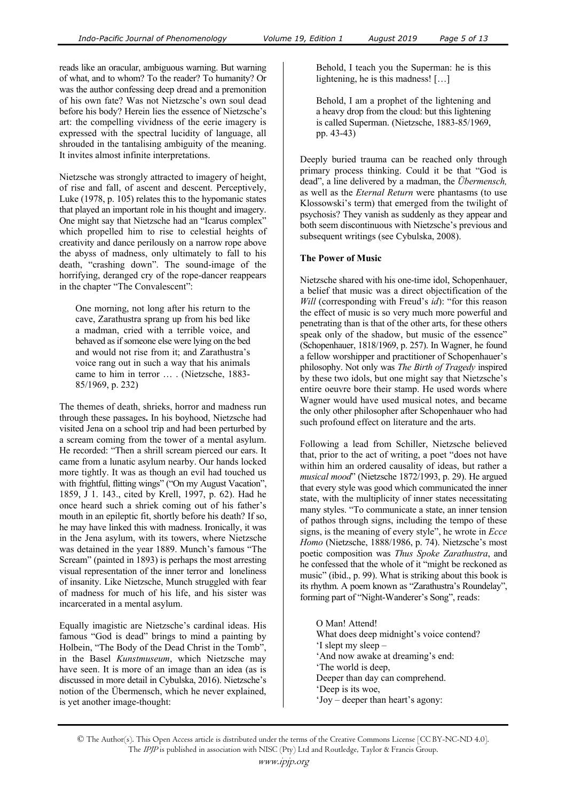reads like an oracular, ambiguous warning. But warning of what, and to whom? To the reader? To humanity? Or was the author confessing deep dread and a premonition of his own fate? Was not Nietzsche's own soul dead before his body? Herein lies the essence of Nietzsche's art: the compelling vividness of the eerie imagery is expressed with the spectral lucidity of language, all shrouded in the tantalising ambiguity of the meaning. It invites almost infinite interpretations.

Nietzsche was strongly attracted to imagery of height, of rise and fall, of ascent and descent. Perceptively, Luke (1978, p. 105) relates this to the hypomanic states that played an important role in his thought and imagery. One might say that Nietzsche had an "Icarus complex" which propelled him to rise to celestial heights of creativity and dance perilously on a narrow rope above the abyss of madness, only ultimately to fall to his death, "crashing down". The sound-image of the horrifying, deranged cry of the rope-dancer reappears in the chapter "The Convalescent":

One morning, not long after his return to the cave, Zarathustra sprang up from his bed like a madman, cried with a terrible voice, and behaved as if someone else were lying on the bed and would not rise from it; and Zarathustra's voice rang out in such a way that his animals came to him in terror … . (Nietzsche, 1883- 85/1969, p. 232)

The themes of death, shrieks, horror and madness run through these passages**.** In his boyhood, Nietzsche had visited Jena on a school trip and had been perturbed by a scream coming from the tower of a mental asylum. He recorded: "Then a shrill scream pierced our ears. It came from a lunatic asylum nearby. Our hands locked more tightly. It was as though an evil had touched us with frightful, flitting wings" ("On my August Vacation", 1859, J 1. 143., cited by Krell, 1997, p. 62). Had he once heard such a shriek coming out of his father's mouth in an epileptic fit, shortly before his death? If so, he may have linked this with madness. Ironically, it was in the Jena asylum, with its towers, where Nietzsche was detained in the year 1889. Munch's famous "The Scream" (painted in 1893) is perhaps the most arresting visual representation of the inner terror and loneliness of insanity. Like Nietzsche, Munch struggled with fear of madness for much of his life, and his sister was incarcerated in a mental asylum.

Equally imagistic are Nietzsche's cardinal ideas. His famous "God is dead" brings to mind a painting by Holbein, "The Body of the Dead Christ in the Tomb", in the Basel *Kunstmuseum*, which Nietzsche may have seen. It is more of an image than an idea (as is discussed in more detail in Cybulska, 2016). Nietzsche's notion of the Übermensch, which he never explained, is yet another image-thought:

Behold, I teach you the Superman: he is this lightening, he is this madness! […]

Behold, I am a prophet of the lightening and a heavy drop from the cloud: but this lightening is called Superman. (Nietzsche, 1883-85/1969, pp. 43-43)

Deeply buried trauma can be reached only through primary process thinking. Could it be that "God is dead", a line delivered by a madman, the *Übermensch,*  as well as the *Eternal Return* were phantasms (to use Klossowski's term) that emerged from the twilight of psychosis? They vanish as suddenly as they appear and both seem discontinuous with Nietzsche's previous and subsequent writings (see Cybulska, 2008).

## **The Power of Music**

Nietzsche shared with his one-time idol, Schopenhauer, a belief that music was a direct objectification of the *Will* (corresponding with Freud's *id*): "for this reason the effect of music is so very much more powerful and penetrating than is that of the other arts, for these others speak only of the shadow, but music of the essence" (Schopenhauer, 1818/1969, p. 257). In Wagner, he found a fellow worshipper and practitioner of Schopenhauer's philosophy. Not only was *The Birth of Tragedy* inspired by these two idols, but one might say that Nietzsche's entire oeuvre bore their stamp. He used words where Wagner would have used musical notes, and became the only other philosopher after Schopenhauer who had such profound effect on literature and the arts.

Following a lead from Schiller, Nietzsche believed that, prior to the act of writing, a poet "does not have within him an ordered causality of ideas, but rather a *musical mood*" (Nietzsche 1872/1993, p. 29). He argued that every style was good which communicated the inner state, with the multiplicity of inner states necessitating many styles. "To communicate a state, an inner tension of pathos through signs, including the tempo of these signs, is the meaning of every style", he wrote in *Ecce Homo* (Nietzsche, 1888/1986, p. 74). Nietzsche's most poetic composition was *Thus Spoke Zarathustra*, and he confessed that the whole of it "might be reckoned as music" (ibid., p. 99). What is striking about this book is its rhythm. A poem known as "Zarathustra's Roundelay", forming part of "Night-Wanderer's Song", reads:

O Man! Attend! What does deep midnight's voice contend? 'I slept my sleep – 'And now awake at dreaming's end: 'The world is deep, Deeper than day can comprehend. 'Deep is its woe, 'Joy – deeper than heart's agony: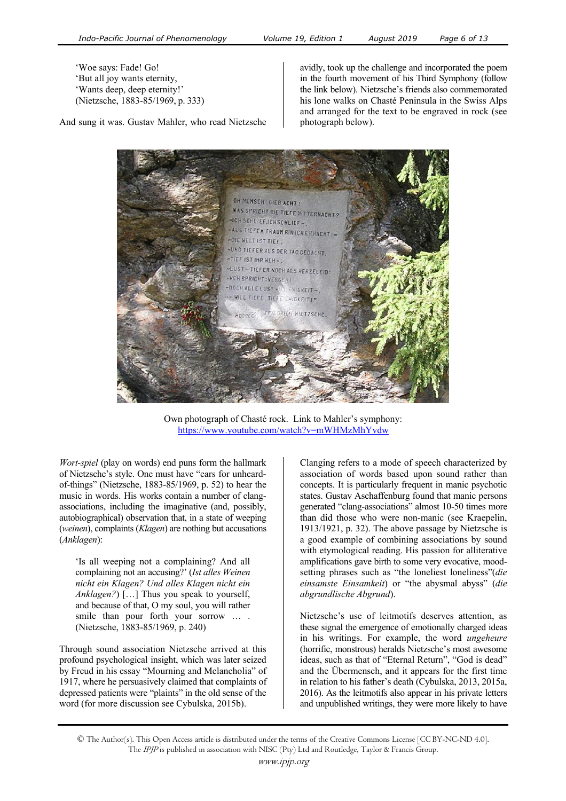'Woe says: Fade! Go! 'But all joy wants eternity, 'Wants deep, deep eternity!' (Nietzsche, 1883-85/1969, p. 333)

And sung it was. Gustav Mahler, who read Nietzsche

avidly, took up the challenge and incorporated the poem in the fourth movement of his Third Symphony (follow the link below). Nietzsche's friends also commemorated his lone walks on Chasté Peninsula in the Swiss Alps and arranged for the text to be engraved in rock (see photograph below).



Own photograph of Chasté rock. Link to Mahler's symphony: <sup>H</sup>https://www.youtube.com/watch?v=mWHMzMhYvdw

*Wort*-*spiel* (play on words) end puns form the hallmark of Nietzsche's style. One must have "ears for unheardof-things" (Nietzsche, 1883-85/1969, p. 52) to hear the music in words. His works contain a number of clangassociations, including the imaginative (and, possibly, autobiographical) observation that, in a state of weeping (*weinen*), complaints (*Klagen*) are nothing but accusations (*Anklagen*):

'Is all weeping not a complaining? And all complaining not an accusing?' (*Ist alles Weinen nicht ein Klagen? Und alles Klagen nicht ein Anklagen?*) […] Thus you speak to yourself, and because of that, O my soul, you will rather smile than pour forth your sorrow … . (Nietzsche, 1883-85/1969, p. 240)

Through sound association Nietzsche arrived at this profound psychological insight, which was later seized by Freud in his essay "Mourning and Melancholia" of 1917, where he persuasively claimed that complaints of depressed patients were "plaints" in the old sense of the word (for more discussion see Cybulska, 2015b).

Clanging refers to a mode of speech characterized by association of words based upon sound rather than concepts. It is particularly frequent in manic psychotic states. Gustav Aschaffenburg found that manic persons generated "clang-associations" almost 10-50 times more than did those who were non-manic (see Kraepelin, 1913/1921, p. 32). The above passage by Nietzsche is a good example of combining associations by sound with etymological reading. His passion for alliterative amplifications gave birth to some very evocative, moodsetting phrases such as "the loneliest loneliness"(*die einsamste Einsamkeit*) or "the abysmal abyss" (*die abgrundlische Abgrund*).

Nietzsche's use of leitmotifs deserves attention, as these signal the emergence of emotionally charged ideas in his writings. For example, the word *ungeheure* (horrific, monstrous) heralds Nietzsche's most awesome ideas, such as that of "Eternal Return", "God is dead" and the Übermensch, and it appears for the first time in relation to his father's death (Cybulska, 2013, 2015a, 2016). As the leitmotifs also appear in his private letters and unpublished writings, they were more likely to have

© The Author(s). This Open Access article is distributed under the terms of the Creative Commons License [CC BY-NC-ND 4.0]. The IPJP is published in association with NISC (Pty) Ltd and Routledge, Taylor & Francis Group.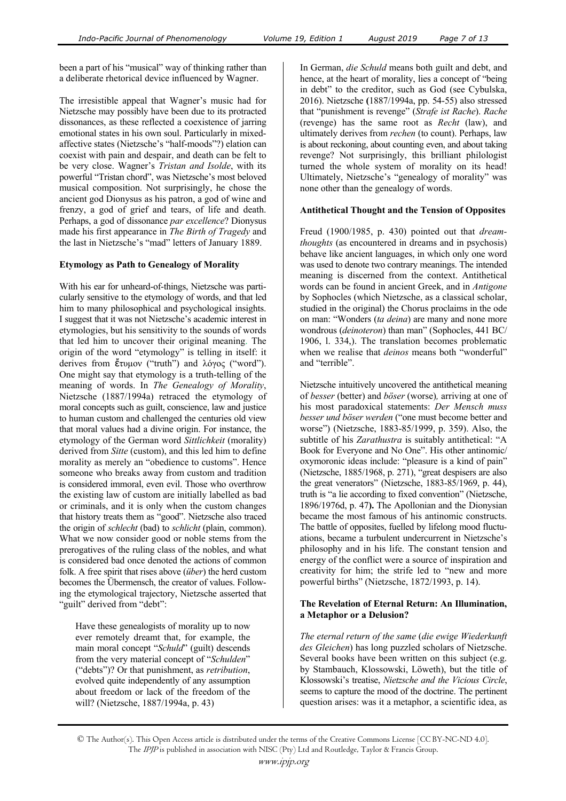been a part of his "musical" way of thinking rather than a deliberate rhetorical device influenced by Wagner.

The irresistible appeal that Wagner's music had for Nietzsche may possibly have been due to its protracted dissonances, as these reflected a coexistence of jarring emotional states in his own soul. Particularly in mixedaffective states (Nietzsche's "half-moods"?) elation can coexist with pain and despair, and death can be felt to be very close. Wagner's *Tristan and Isolde*, with its powerful "Tristan chord", was Nietzsche's most beloved musical composition. Not surprisingly, he chose the ancient god Dionysus as his patron, a god of wine and frenzy, a god of grief and tears, of life and death. Perhaps, a god of dissonance *par excellence*? Dionysus made his first appearance in *The Birth of Tragedy* and the last in Nietzsche's "mad" letters of January 1889.

## **Etymology as Path to Genealogy of Morality**

With his ear for unheard-of-things, Nietzsche was particularly sensitive to the etymology of words, and that led him to many philosophical and psychological insights. I suggest that it was not Nietzsche's academic interest in etymologies, but his sensitivity to the sounds of words that led him to uncover their original meaning. The origin of the word "etymology" is telling in itself: it derives from  $\check{\epsilon}$ τυμον ("truth") and λόγος ("word"). One might say that etymology is a truth-telling of the meaning of words. In *The Genealogy of Morality*, Nietzsche (1887/1994a) retraced the etymology of moral concepts such as guilt, conscience, law and justice to human custom and challenged the centuries old view that moral values had a divine origin. For instance, the etymology of the German word *Sittlichkeit* (morality) derived from *Sitte* (custom), and this led him to define morality as merely an "obedience to customs". Hence someone who breaks away from custom and tradition is considered immoral, even evil. Those who overthrow the existing law of custom are initially labelled as bad or criminals, and it is only when the custom changes that history treats them as "good". Nietzsche also traced the origin of *schlecht* (bad) to *schlicht* (plain, common). What we now consider good or noble stems from the prerogatives of the ruling class of the nobles, and what is considered bad once denoted the actions of common folk. A free spirit that rises above (*über*) the herd custom becomes the Übermensch, the creator of values. Following the etymological trajectory, Nietzsche asserted that "guilt" derived from "debt":

Have these genealogists of morality up to now ever remotely dreamt that, for example, the main moral concept "*Schuld*" (guilt) descends from the very material concept of "*Schulden*" ("debts")? Or that punishment, as *retribution*, evolved quite independently of any assumption about freedom or lack of the freedom of the will? (Nietzsche, 1887/1994a, p. 43)

In German, *die Schuld* means both guilt and debt, and hence, at the heart of morality, lies a concept of "being in debt" to the creditor, such as God (see Cybulska, 2016). Nietzsche **(**1887/1994a, pp. 54-55) also stressed that "punishment is revenge" (*Strafe ist Rache*). *Rache* (revenge) has the same root as *Recht* (law), and ultimately derives from *rechen* (to count). Perhaps, law is about reckoning, about counting even, and about taking revenge? Not surprisingly, this brilliant philologist turned the whole system of morality on its head! Ultimately, Nietzsche's "genealogy of morality" was none other than the genealogy of words.

#### **Antithetical Thought and the Tension of Opposites**

Freud (1900/1985, p. 430) pointed out that *dreamthoughts* (as encountered in dreams and in psychosis) behave like ancient languages, in which only one word was used to denote two contrary meanings. The intended meaning is discerned from the context. Antithetical words can be found in ancient Greek, and in *Antigone*  by Sophocles (which Nietzsche, as a classical scholar, studied in the original) the Chorus proclaims in the ode on man: "Wonders (*ta deina*) are many and none more wondrous (*deinoteron*) than man" (Sophocles, 441 BC/ 1906, l. 334,). The translation becomes problematic when we realise that *deinos* means both "wonderful" and "terrible".

Nietzsche intuitively uncovered the antithetical meaning of *besser* (better) and *böser* (worse)*,* arriving at one of his most paradoxical statements: *Der Mensch muss besser und böser werden* ("one must become better and worse") (Nietzsche, 1883-85/1999, p. 359). Also, the subtitle of his *Zarathustra* is suitably antithetical: "A Book for Everyone and No One". His other antinomic/ oxymoronic ideas include: "pleasure is a kind of pain" (Nietzsche, 1885/1968, p. 271), "great despisers are also the great venerators" (Nietzsche, 1883-85/1969, p. 44), truth is "a lie according to fixed convention" (Nietzsche, 1896/1976d, p. 47**).** The Apollonian and the Dionysian became the most famous of his antinomic constructs. The battle of opposites, fuelled by lifelong mood fluctuations, became a turbulent undercurrent in Nietzsche's philosophy and in his life. The constant tension and energy of the conflict were a source of inspiration and creativity for him; the strife led to "new and more powerful births" (Nietzsche, 1872/1993, p. 14).

#### **The Revelation of Eternal Return: An Illumination, a Metaphor or a Delusion?**

*The eternal return of the same* (*die ewige Wiederkunft des Gleichen*) has long puzzled scholars of Nietzsche. Several books have been written on this subject (e.g. by Stambauch, Klossowski, Löweth), but the title of Klossowski's treatise, *Nietzsche and the Vicious Circle*, seems to capture the mood of the doctrine. The pertinent question arises: was it a metaphor, a scientific idea, as

<sup>©</sup> The Author(s). This Open Access article is distributed under the terms of the Creative Commons License [CC BY-NC-ND 4.0]. The IPJP is published in association with NISC (Pty) Ltd and Routledge, Taylor & Francis Group.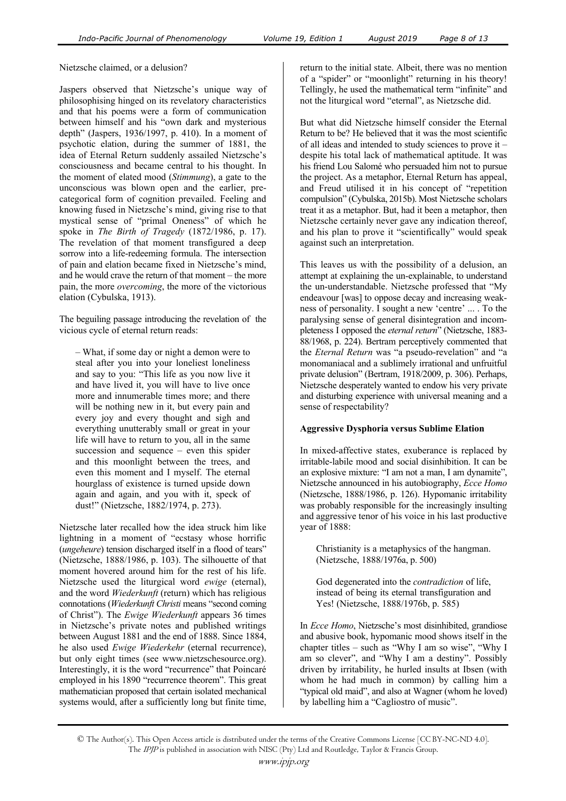Nietzsche claimed, or a delusion?

Jaspers observed that Nietzsche's unique way of philosophising hinged on its revelatory characteristics and that his poems were a form of communication between himself and his "own dark and mysterious depth" (Jaspers, 1936/1997, p. 410). In a moment of psychotic elation, during the summer of 1881, the idea of Eternal Return suddenly assailed Nietzsche's consciousness and became central to his thought. In the moment of elated mood (*Stimmung*), a gate to the unconscious was blown open and the earlier, precategorical form of cognition prevailed. Feeling and knowing fused in Nietzsche's mind, giving rise to that mystical sense of "primal Oneness" of which he spoke in *The Birth of Tragedy* (1872/1986, p. 17). The revelation of that moment transfigured a deep sorrow into a life-redeeming formula. The intersection of pain and elation became fixed in Nietzsche's mind, and he would crave the return of that moment – the more pain, the more *overcoming*, the more of the victorious elation (Cybulska, 1913).

The beguiling passage introducing the revelation of the vicious cycle of eternal return reads:

– What, if some day or night a demon were to steal after you into your loneliest loneliness and say to you: "This life as you now live it and have lived it, you will have to live once more and innumerable times more; and there will be nothing new in it, but every pain and every joy and every thought and sigh and everything unutterably small or great in your life will have to return to you, all in the same succession and sequence – even this spider and this moonlight between the trees, and even this moment and I myself. The eternal hourglass of existence is turned upside down again and again, and you with it, speck of dust!" (Nietzsche, 1882/1974, p. 273).

Nietzsche later recalled how the idea struck him like lightning in a moment of "ecstasy whose horrific (*ungeheure*) tension discharged itself in a flood of tears" (Nietzsche, 1888/1986, p. 103). The silhouette of that moment hovered around him for the rest of his life. Nietzsche used the liturgical word *ewige* (eternal), and the word *Wiederkunft* (return) which has religious connotations (*Wiederkunft Christi* means "second coming of Christ"). The *Ewige Wiederkunft* appears 36 times in Nietzsche's private notes and published writings between August 1881 and the end of 1888. Since 1884, he also used *Ewige Wiederkehr* (eternal recurrence), but only eight times (see www.nietzschesource.org). Interestingly, it is the word "recurrence" that Poincaré employed in his 1890 "recurrence theorem". This great mathematician proposed that certain isolated mechanical systems would, after a sufficiently long but finite time,

return to the initial state. Albeit, there was no mention of a "spider" or "moonlight" returning in his theory! Tellingly, he used the mathematical term "infinite" and not the liturgical word "eternal", as Nietzsche did.

But what did Nietzsche himself consider the Eternal Return to be? He believed that it was the most scientific of all ideas and intended to study sciences to prove it – despite his total lack of mathematical aptitude. It was his friend Lou Salomé who persuaded him not to pursue the project. As a metaphor, Eternal Return has appeal, and Freud utilised it in his concept of "repetition compulsion" (Cybulska, 2015b). Most Nietzsche scholars treat it as a metaphor. But, had it been a metaphor, then Nietzsche certainly never gave any indication thereof, and his plan to prove it "scientifically" would speak against such an interpretation.

This leaves us with the possibility of a delusion, an attempt at explaining the un-explainable, to understand the un-understandable. Nietzsche professed that "My endeavour [was] to oppose decay and increasing weakness of personality. I sought a new 'centre' ... . To the paralysing sense of general disintegration and incompleteness I opposed the *eternal return*" (Nietzsche, 1883- 88/1968, p. 224). Bertram perceptively commented that the *Eternal Return* was "a pseudo-revelation" and "a monomaniacal and a sublimely irrational and unfruitful private delusion" (Bertram, 1918/2009, p. 306). Perhaps, Nietzsche desperately wanted to endow his very private and disturbing experience with universal meaning and a sense of respectability?

#### **Aggressive Dysphoria versus Sublime Elation**

In mixed-affective states, exuberance is replaced by irritable-labile mood and social disinhibition. It can be an explosive mixture: "I am not a man, I am dynamite", Nietzsche announced in his autobiography, *Ecce Homo* (Nietzsche, 1888/1986, p. 126). Hypomanic irritability was probably responsible for the increasingly insulting and aggressive tenor of his voice in his last productive year of 1888:

Christianity is a metaphysics of the hangman. (Nietzsche, 1888/1976a, p. 500)

God degenerated into the *contradiction* of life, instead of being its eternal transfiguration and Yes! (Nietzsche, 1888/1976b, p. 585)

In *Ecce Homo*, Nietzsche's most disinhibited, grandiose and abusive book, hypomanic mood shows itself in the chapter titles – such as "Why I am so wise", "Why I am so clever", and "Why I am a destiny". Possibly driven by irritability, he hurled insults at Ibsen (with whom he had much in common) by calling him a "typical old maid", and also at Wagner (whom he loved) by labelling him a "Cagliostro of music".

<sup>©</sup> The Author(s). This Open Access article is distributed under the terms of the Creative Commons License [CC BY-NC-ND 4.0]. The IPJP is published in association with NISC (Pty) Ltd and Routledge, Taylor & Francis Group.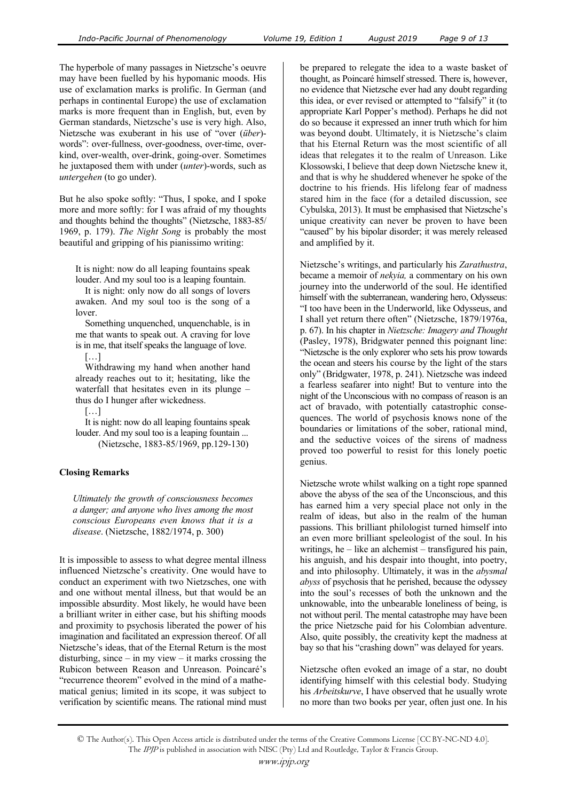The hyperbole of many passages in Nietzsche's oeuvre may have been fuelled by his hypomanic moods. His use of exclamation marks is prolific. In German (and perhaps in continental Europe) the use of exclamation marks is more frequent than in English, but, even by German standards, Nietzsche's use is very high. Also, Nietzsche was exuberant in his use of "over (*über*) words": over-fullness, over-goodness, over-time, overkind, over-wealth, over-drink, going-over. Sometimes he juxtaposed them with under (*unter*)-words, such as *untergehen* (to go under).

But he also spoke softly: "Thus, I spoke, and I spoke more and more softly: for I was afraid of my thoughts and thoughts behind the thoughts" (Nietzsche, 1883-85/ 1969, p. 179). *The Night Song* is probably the most beautiful and gripping of his pianissimo writing:

It is night: now do all leaping fountains speak louder. And my soul too is a leaping fountain.

 It is night: only now do all songs of lovers awaken. And my soul too is the song of a lover.

 Something unquenched, unquenchable, is in me that wants to speak out. A craving for love is in me, that itself speaks the language of love. […]

 Withdrawing my hand when another hand already reaches out to it; hesitating, like the waterfall that hesitates even in its plunge – thus do I hunger after wickedness.

[…]

 It is night: now do all leaping fountains speak louder. And my soul too is a leaping fountain ... (Nietzsche, 1883-85/1969, pp.129-130)

## **Closing Remarks**

*Ultimately the growth of consciousness becomes a danger; and anyone who lives among the most conscious Europeans even knows that it is a disease*. (Nietzsche, 1882/1974, p. 300)

It is impossible to assess to what degree mental illness influenced Nietzsche's creativity. One would have to conduct an experiment with two Nietzsches, one with and one without mental illness, but that would be an impossible absurdity. Most likely, he would have been a brilliant writer in either case, but his shifting moods and proximity to psychosis liberated the power of his imagination and facilitated an expression thereof. Of all Nietzsche's ideas, that of the Eternal Return is the most disturbing, since  $-$  in my view  $-$  it marks crossing the Rubicon between Reason and Unreason. Poincaré's "recurrence theorem" evolved in the mind of a mathematical genius; limited in its scope, it was subject to verification by scientific means. The rational mind must be prepared to relegate the idea to a waste basket of thought, as Poincaré himself stressed. There is, however, no evidence that Nietzsche ever had any doubt regarding this idea, or ever revised or attempted to "falsify" it (to appropriate Karl Popper's method). Perhaps he did not do so because it expressed an inner truth which for him was beyond doubt. Ultimately, it is Nietzsche's claim that his Eternal Return was the most scientific of all ideas that relegates it to the realm of Unreason. Like Klossowski, I believe that deep down Nietzsche knew it, and that is why he shuddered whenever he spoke of the doctrine to his friends. His lifelong fear of madness stared him in the face (for a detailed discussion, see Cybulska, 2013). It must be emphasised that Nietzsche's unique creativity can never be proven to have been "caused" by his bipolar disorder; it was merely released and amplified by it.

Nietzsche's writings, and particularly his *Zarathustra*, became a memoir of *nekyia,* a commentary on his own journey into the underworld of the soul. He identified himself with the subterranean, wandering hero, Odysseus: "I too have been in the Underworld, like Odysseus, and I shall yet return there often" (Nietzsche, 1879/1976a, p. 67). In his chapter in *Nietzsche: Imagery and Thought* (Pasley, 1978), Bridgwater penned this poignant line: "Nietzsche is the only explorer who sets his prow towards the ocean and steers his course by the light of the stars only" (Bridgwater, 1978, p. 241). Nietzsche was indeed a fearless seafarer into night! But to venture into the night of the Unconscious with no compass of reason is an act of bravado, with potentially catastrophic consequences. The world of psychosis knows none of the boundaries or limitations of the sober, rational mind, and the seductive voices of the sirens of madness proved too powerful to resist for this lonely poetic genius.

Nietzsche wrote whilst walking on a tight rope spanned above the abyss of the sea of the Unconscious, and this has earned him a very special place not only in the realm of ideas, but also in the realm of the human passions. This brilliant philologist turned himself into an even more brilliant speleologist of the soul. In his writings, he – like an alchemist – transfigured his pain, his anguish, and his despair into thought, into poetry, and into philosophy. Ultimately, it was in the *abysmal abyss* of psychosis that he perished, because the odyssey into the soul's recesses of both the unknown and the unknowable, into the unbearable loneliness of being, is not without peril. The mental catastrophe may have been the price Nietzsche paid for his Colombian adventure. Also, quite possibly, the creativity kept the madness at bay so that his "crashing down" was delayed for years.

Nietzsche often evoked an image of a star, no doubt identifying himself with this celestial body. Studying his *Arbeitskurve*, I have observed that he usually wrote no more than two books per year, often just one. In his

© The Author(s). This Open Access article is distributed under the terms of the Creative Commons License [CC BY-NC-ND 4.0]. The IPJP is published in association with NISC (Pty) Ltd and Routledge, Taylor & Francis Group.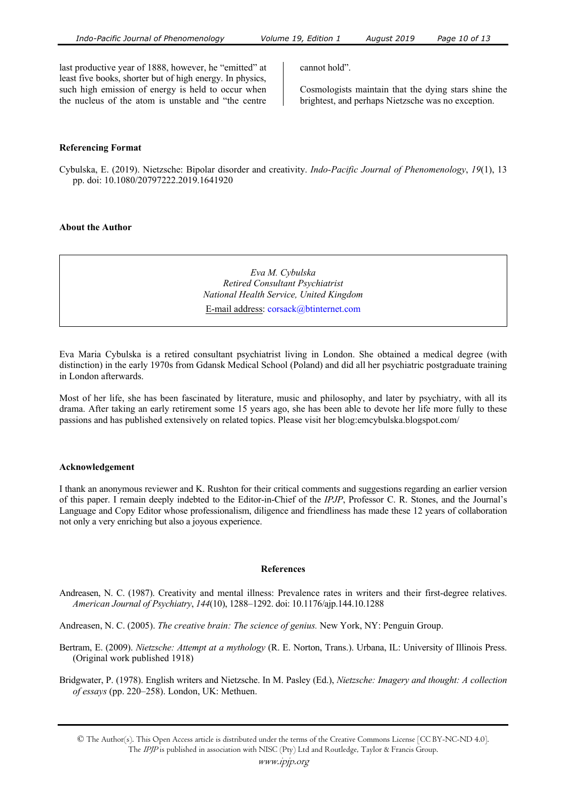last productive year of 1888, however, he "emitted" at least five books, shorter but of high energy. In physics, such high emission of energy is held to occur when the nucleus of the atom is unstable and "the centre cannot hold".

Cosmologists maintain that the dying stars shine the brightest, and perhaps Nietzsche was no exception.

## **Referencing Format**

Cybulska, E. (2019). Nietzsche: Bipolar disorder and creativity. *Indo-Pacific Journal of Phenomenology*, *19*(1), 13 pp. doi: 10.1080/20797222.2019.1641920

#### **About the Author**

*Eva M. Cybulska Retired Consultant Psychiatrist National Health Service, United Kingdom* 

E-mail address: corsack@btinternet.com

Eva Maria Cybulska is a retired consultant psychiatrist living in London. She obtained a medical degree (with distinction) in the early 1970s from Gdansk Medical School (Poland) and did all her psychiatric postgraduate training in London afterwards.

Most of her life, she has been fascinated by literature, music and philosophy, and later by psychiatry, with all its drama. After taking an early retirement some 15 years ago, she has been able to devote her life more fully to these passions and has published extensively on related topics. Please visit her blog:emcybulska.blogspot.com/

#### **Acknowledgement**

I thank an anonymous reviewer and K. Rushton for their critical comments and suggestions regarding an earlier version of this paper. I remain deeply indebted to the Editor-in-Chief of the *IPJP*, Professor C. R. Stones, and the Journal's Language and Copy Editor whose professionalism, diligence and friendliness has made these 12 years of collaboration not only a very enriching but also a joyous experience.

#### **References**

Andreasen, N. C. (1987). Creativity and mental illness: Prevalence rates in writers and their first-degree relatives. *American Journal of Psychiatry*, *144*(10), 1288–1292. doi: 10.1176/ajp.144.10.1288

Andreasen, N. C. (2005). *The creative brain: The science of genius.* New York, NY: Penguin Group.

Bertram, E. (2009). *Nietzsche: Attempt at a mythology* (R. E. Norton, Trans.). Urbana, IL: University of Illinois Press. (Original work published 1918)

Bridgwater, P. (1978). English writers and Nietzsche. In M. Pasley (Ed.), *Nietzsche: Imagery and thought: A collection of essays* (pp. 220–258). London, UK: Methuen.

<sup>©</sup> The Author(s). This Open Access article is distributed under the terms of the Creative Commons License [CC BY-NC-ND 4.0]. The IPJP is published in association with NISC (Pty) Ltd and Routledge, Taylor & Francis Group.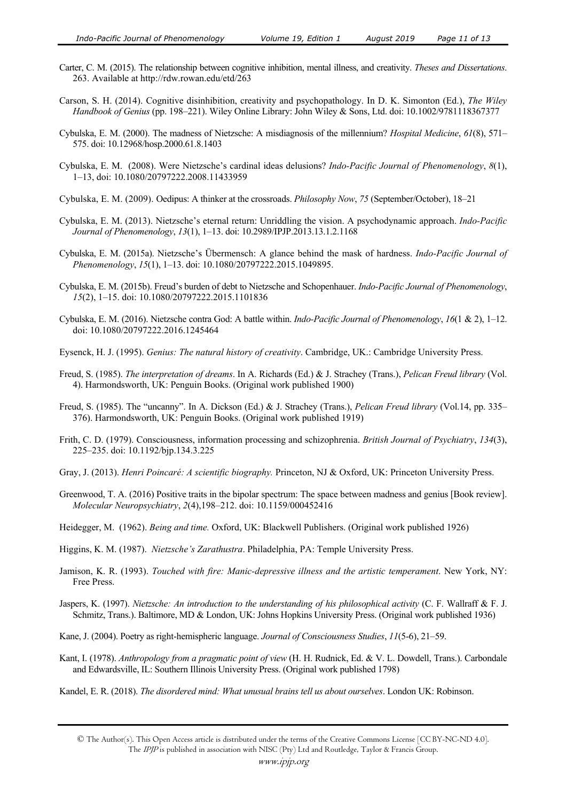- Carter, C. M. (2015). The relationship between cognitive inhibition, mental illness, and creativity. *Theses and Dissertations*. 263. Available at http://rdw.rowan.edu/etd/263
- Carson, S. H. (2014). Cognitive disinhibition, creativity and psychopathology. In D. K. Simonton (Ed.), *The Wiley Handbook of Genius* (pp. 198–221). Wiley Online Library: John Wiley & Sons, Ltd. doi: 10.1002/9781118367377
- Cybulska, E. M. (2000). The madness of Nietzsche: A misdiagnosis of the millennium? *Hospital Medicine*, *61*(8), 571– 575. doi: 10.12968/hosp.2000.61.8.1403
- Cybulska, E. M. (2008). Were Nietzsche's cardinal ideas delusions? *Indo-Pacific Journal of Phenomenology*, *8*(1), 1–13, doi: 10.1080/20797222.2008.11433959
- Cybulska, E. M. (2009). Oedipus: A thinker at the crossroads. *Philosophy Now*, *75* (September/October), 18–21
- Cybulska, E. M. (2013). Nietzsche's eternal return: Unriddling the vision. A psychodynamic approach. *Indo-Pacific Journal of Phenomenology*, *13*(1), 1–13. doi: 10.2989/IPJP.2013.13.1.2.1168
- Cybulska, E. M. (2015a). Nietzsche's Übermensch: A glance behind the mask of hardness. *Indo-Pacific Journal of Phenomenology*, *15*(1), 1–13. doi: 10.1080/20797222.2015.1049895.
- Cybulska, E. M. (2015b). Freud's burden of debt to Nietzsche and Schopenhauer. *Indo-Pacific Journal of Phenomenology*, *15*(2), 1–15. doi: 10.1080/20797222.2015.1101836
- Cybulska, E. M. (2016). Nietzsche contra God: A battle within. *Indo-Pacific Journal of Phenomenology*, *16*(1 & 2), 1–12. doi: 10.1080/20797222.2016.1245464
- Eysenck, H. J. (1995). *Genius: The natural history of creativity*. Cambridge, UK.: Cambridge University Press.
- Freud, S. (1985). *The interpretation of dreams*. In A. Richards (Ed.) & J. Strachey (Trans.), *Pelican Freud library* (Vol. 4). Harmondsworth, UK: Penguin Books. (Original work published 1900)
- Freud, S. (1985). The "uncanny". In A. Dickson (Ed.) & J. Strachey (Trans.), *Pelican Freud library* (Vol.14, pp. 335– 376). Harmondsworth, UK: Penguin Books. (Original work published 1919)
- Frith, C. D. (1979). Consciousness, information processing and schizophrenia. *British Journal of Psychiatry*, *134*(3), 225–235. doi: 10.1192/bjp.134.3.225
- Gray, J. (2013). *Henri Poincaré: A scientific biography.* Princeton, NJ & Oxford, UK: Princeton University Press.
- Greenwood, T. A. (2016) Positive traits in the bipolar spectrum: The space between madness and genius [Book review]. *Molecular Neuropsychiatry*, *2*(4),198–212. doi: 10.1159/000452416
- Heidegger, M. (1962). *Being and time.* Oxford, UK: Blackwell Publishers. (Original work published 1926)
- Higgins, K. M. (1987). *Nietzsche's Zarathustra*. Philadelphia, PA: Temple University Press.
- Jamison, K. R. (1993). *Touched with fire: Manic-depressive illness and the artistic temperament*. New York, NY: Free Press.
- Jaspers, K. (1997). *Nietzsche: An introduction to the understanding of his philosophical activity* (C. F. Wallraff & F. J. Schmitz, Trans.). Baltimore, MD & London, UK: Johns Hopkins University Press. (Original work published 1936)
- Kane, J. (2004). Poetry as right-hemispheric language. *Journal of Consciousness Studies*, *11*(5-6), 21–59.
- Kant, I. (1978). *Anthropology from a pragmatic point of view* (H. H. Rudnick, Ed. & V. L. Dowdell, Trans.). Carbondale and Edwardsville, IL: Southern Illinois University Press. (Original work published 1798)
- Kandel, E. R. (2018). *The disordered mind: What unusual brains tell us about ourselves*. London UK: Robinson.

<sup>©</sup> The Author(s). This Open Access article is distributed under the terms of the Creative Commons License [CC BY-NC-ND 4.0]. The IPJP is published in association with NISC (Pty) Ltd and Routledge, Taylor & Francis Group.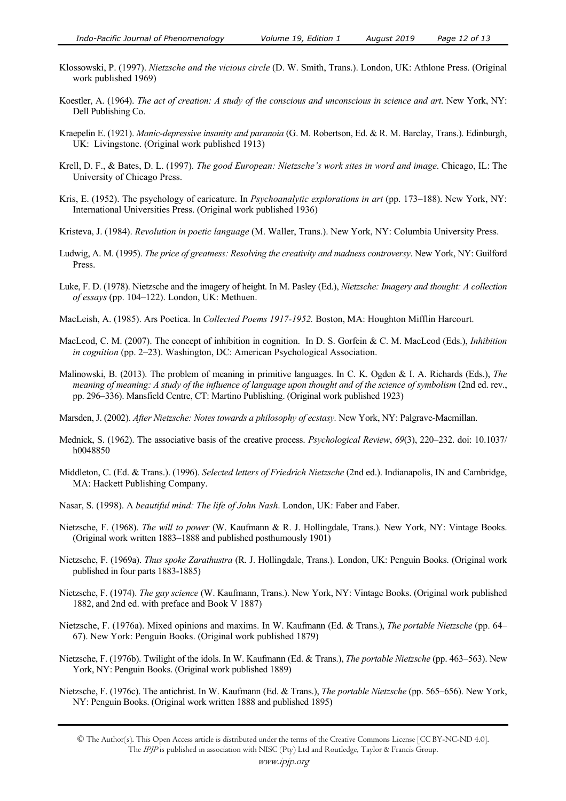- Klossowski, P. (1997). *Nietzsche and the vicious circle* (D. W. Smith, Trans.). London, UK: Athlone Press. (Original work published 1969)
- Koestler, A. (1964). *The act of creation: A study of the conscious and unconscious in science and art*. New York, NY: Dell Publishing Co.
- Kraepelin E. (1921). *Manic-depressive insanity and paranoia* (G. M. Robertson, Ed. & R. M. Barclay, Trans.). Edinburgh, UK: Livingstone. (Original work published 1913)
- Krell, D. F., & Bates, D. L. (1997). *The good European: Nietzsche's work sites in word and image*. Chicago, IL: The University of Chicago Press.
- Kris, E. (1952). The psychology of caricature. In *Psychoanalytic explorations in art* (pp. 173–188). New York, NY: International Universities Press. (Original work published 1936)
- Kristeva, J. (1984). *Revolution in poetic language* (M. Waller, Trans.). New York, NY: Columbia University Press.
- Ludwig, A. M. (1995). *The price of greatness: Resolving the creativity and madness controversy*. New York, NY: Guilford Press.
- Luke, F. D. (1978). Nietzsche and the imagery of height. In M. Pasley (Ed.), *Nietzsche: Imagery and thought: A collection of essays* (pp. 104–122). London, UK: Methuen.
- MacLeish, A. (1985). Ars Poetica. In *Collected Poems 1917-1952.* Boston, MA: Houghton Mifflin Harcourt.
- MacLeod, C. M. (2007). The concept of inhibition in cognition. In D. S. Gorfein & C. M. MacLeod (Eds.), *Inhibition in cognition* (pp. 2–23). Washington, DC: American Psychological Association.
- Malinowski, B. (2013). The problem of meaning in primitive languages. In C. K. Ogden & I. A. Richards (Eds.), *The meaning of meaning: A study of the influence of language upon thought and of the science of symbolism* (2nd ed. rev., pp. 296–336). Mansfield Centre, CT: Martino Publishing. (Original work published 1923)
- Marsden, J. (2002). *After Nietzsche: Notes towards a philosophy of ecstasy.* New York, NY: Palgrave-Macmillan.
- Mednick, S. (1962). The associative basis of the creative process. *Psychological Review*, *69*(3), 220–232. doi: 10.1037/ h0048850
- Middleton, C. (Ed. & Trans.). (1996). *Selected letters of Friedrich Nietzsche* (2nd ed.). Indianapolis, IN and Cambridge, MA: Hackett Publishing Company.
- Nasar, S. (1998). A *beautiful mind: The life of John Nash*. London, UK: Faber and Faber.
- Nietzsche, F. (1968). *The will to power* (W. Kaufmann & R. J. Hollingdale, Trans.). New York, NY: Vintage Books. (Original work written 1883–1888 and published posthumously 1901)
- Nietzsche, F. (1969a). *Thus spoke Zarathustra* (R. J. Hollingdale, Trans.). London, UK: Penguin Books. (Original work published in four parts 1883-1885)
- Nietzsche, F. (1974). *The gay science* (W. Kaufmann, Trans.). New York, NY: Vintage Books. (Original work published 1882, and 2nd ed. with preface and Book V 1887)
- Nietzsche, F. (1976a). Mixed opinions and maxims. In W. Kaufmann (Ed. & Trans.), *The portable Nietzsche* (pp. 64– 67). New York: Penguin Books. (Original work published 1879)
- Nietzsche, F. (1976b). Twilight of the idols. In W. Kaufmann (Ed. & Trans.), *The portable Nietzsche* (pp. 463–563). New York, NY: Penguin Books. (Original work published 1889)
- Nietzsche, F. (1976c). The antichrist. In W. Kaufmann (Ed. & Trans.), *The portable Nietzsche* (pp. 565–656). New York, NY: Penguin Books. (Original work written 1888 and published 1895)

<sup>©</sup> The Author(s). This Open Access article is distributed under the terms of the Creative Commons License [CC BY-NC-ND 4.0]. The IPJP is published in association with NISC (Pty) Ltd and Routledge, Taylor & Francis Group.